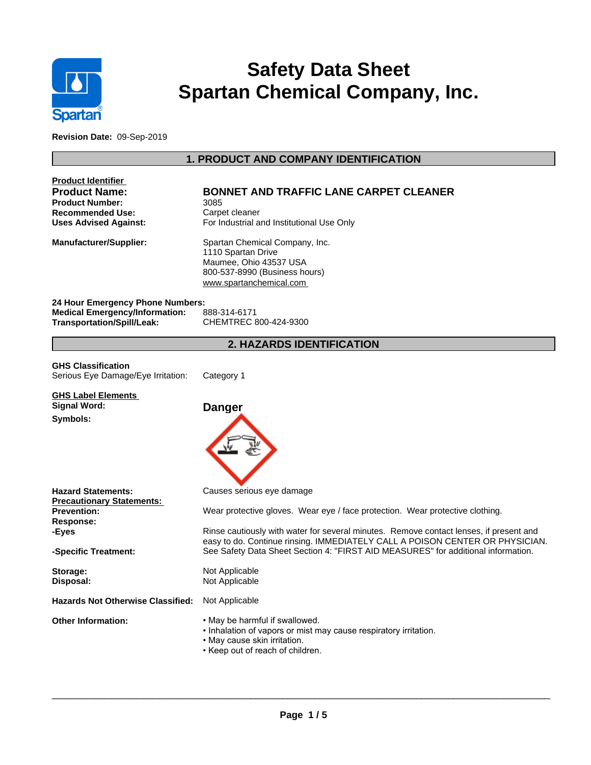

# **Safety Data Sheet Spartan Chemical Company, Inc.**

**Revision Date:** 09-Sep-2019

# **1. PRODUCT AND COMPANY IDENTIFICATION**

| Product Identifier<br><b>Product Name:</b><br><b>Product Number:</b><br><b>Recommended Use:</b><br><b>Uses Advised Against:</b> | <b>BONNET AND TRAFFIC LANE CARPET CLEANER</b><br>3085<br>Carpet cleaner<br>For Industrial and Institutional Use Only                                                                                                                                                                                                                                                      |  |  |  |
|---------------------------------------------------------------------------------------------------------------------------------|---------------------------------------------------------------------------------------------------------------------------------------------------------------------------------------------------------------------------------------------------------------------------------------------------------------------------------------------------------------------------|--|--|--|
| Manufacturer/Supplier:                                                                                                          | Spartan Chemical Company, Inc.<br>1110 Spartan Drive<br>Maumee, Ohio 43537 USA<br>800-537-8990 (Business hours)<br>www.spartanchemical.com                                                                                                                                                                                                                                |  |  |  |
| 24 Hour Emergency Phone Numbers:<br><b>Medical Emergency/Information:</b><br>Transportation/Spill/Leak:                         | 888-314-6171<br>CHEMTREC 800-424-9300                                                                                                                                                                                                                                                                                                                                     |  |  |  |
|                                                                                                                                 | <b>2. HAZARDS IDENTIFICATION</b>                                                                                                                                                                                                                                                                                                                                          |  |  |  |
| <b>GHS Classification</b><br>Serious Eye Damage/Eye Irritation:                                                                 | Category 1                                                                                                                                                                                                                                                                                                                                                                |  |  |  |
| <b>GHS Label Elements</b><br><b>Signal Word:</b><br>Symbols:                                                                    | <b>Danger</b>                                                                                                                                                                                                                                                                                                                                                             |  |  |  |
| <b>Hazard Statements:</b><br><b>Precautionary Statements:</b><br>Prevention:<br>Response:<br>-Eyes<br>-Specific Treatment:      | Causes serious eye damage<br>Wear protective gloves. Wear eye / face protection. Wear protective clothing.<br>Rinse cautiously with water for several minutes. Remove contact lenses, if present and<br>easy to do. Continue rinsing. IMMEDIATELY CALL A POISON CENTER OR PHYSICIAN.<br>See Safety Data Sheet Section 4: "FIRST AID MEASURES" for additional information. |  |  |  |
| Storage:<br>Disposal:                                                                                                           | Not Applicable<br>Not Applicable                                                                                                                                                                                                                                                                                                                                          |  |  |  |
| <b>Hazards Not Otherwise Classified:</b>                                                                                        | Not Applicable                                                                                                                                                                                                                                                                                                                                                            |  |  |  |
| <b>Other Information:</b>                                                                                                       | • May be harmful if swallowed.<br>. Inhalation of vapors or mist may cause respiratory irritation.<br>• May cause skin irritation.<br>• Keep out of reach of children.                                                                                                                                                                                                    |  |  |  |

 $\_$  ,  $\_$  ,  $\_$  ,  $\_$  ,  $\_$  ,  $\_$  ,  $\_$  ,  $\_$  ,  $\_$  ,  $\_$  ,  $\_$  ,  $\_$  ,  $\_$  ,  $\_$  ,  $\_$  ,  $\_$  ,  $\_$  ,  $\_$  ,  $\_$  ,  $\_$  ,  $\_$  ,  $\_$  ,  $\_$  ,  $\_$  ,  $\_$  ,  $\_$  ,  $\_$  ,  $\_$  ,  $\_$  ,  $\_$  ,  $\_$  ,  $\_$  ,  $\_$  ,  $\_$  ,  $\_$  ,  $\_$  ,  $\_$  ,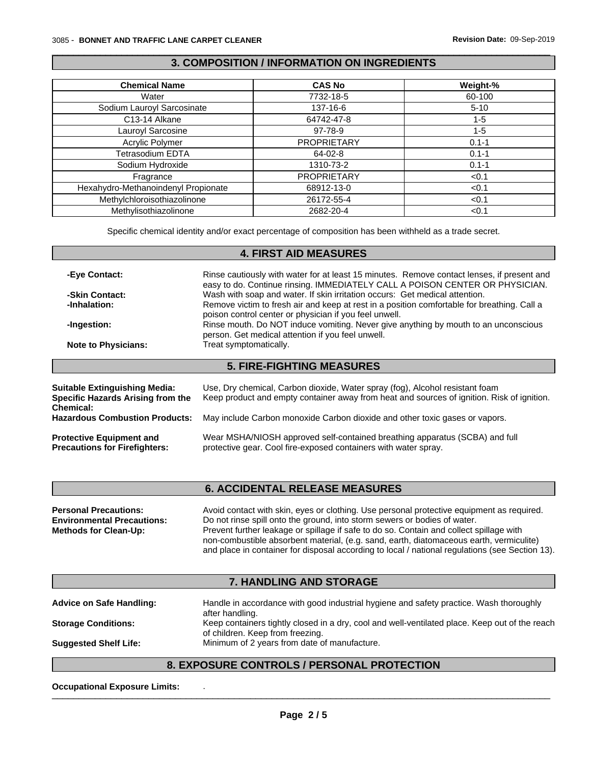# **3. COMPOSITION / INFORMATION ON INGREDIENTS**

 $\_$  ,  $\_$  ,  $\_$  ,  $\_$  ,  $\_$  ,  $\_$  ,  $\_$  ,  $\_$  ,  $\_$  ,  $\_$  ,  $\_$  ,  $\_$  ,  $\_$  ,  $\_$  ,  $\_$  ,  $\_$  ,  $\_$  ,  $\_$  ,  $\_$  ,  $\_$  ,  $\_$  ,  $\_$  ,  $\_$  ,  $\_$  ,  $\_$  ,  $\_$  ,  $\_$  ,  $\_$  ,  $\_$  ,  $\_$  ,  $\_$  ,  $\_$  ,  $\_$  ,  $\_$  ,  $\_$  ,  $\_$  ,  $\_$  ,

| <b>Chemical Name</b>                | <b>CAS No</b>      | Weight-%  |
|-------------------------------------|--------------------|-----------|
| Water                               | 7732-18-5          | 60-100    |
| Sodium Lauroyl Sarcosinate          | 137-16-6           | $5 - 10$  |
| C13-14 Alkane                       | 64742-47-8         | $1 - 5$   |
| Lauroyl Sarcosine                   | 97-78-9            | $1 - 5$   |
| Acrylic Polymer                     | <b>PROPRIETARY</b> | $0.1 - 1$ |
| Tetrasodium EDTA                    | 64-02-8            | $0.1 - 1$ |
| Sodium Hydroxide                    | 1310-73-2          | $0.1 - 1$ |
| Fragrance                           | <b>PROPRIETARY</b> | < 0.1     |
| Hexahydro-Methanoindenyl Propionate | 68912-13-0         | < 0.1     |
| Methylchloroisothiazolinone         | 26172-55-4         | < 0.1     |
| Methylisothiazolinone               | 2682-20-4          | < 0.1     |

Specific chemical identity and/or exact percentage of composition has been withheld as a trade secret.

# **4. FIRST AID MEASURES**

| -Eye Contact:                                         | Rinse cautiously with water for at least 15 minutes. Remove contact lenses, if present and<br>easy to do. Continue rinsing. IMMEDIATELY CALL A POISON CENTER OR PHYSICIAN. |  |  |  |  |
|-------------------------------------------------------|----------------------------------------------------------------------------------------------------------------------------------------------------------------------------|--|--|--|--|
| -Skin Contact:                                        | Wash with soap and water. If skin irritation occurs: Get medical attention.                                                                                                |  |  |  |  |
| -Inhalation:                                          | Remove victim to fresh air and keep at rest in a position comfortable for breathing. Call a<br>poison control center or physician if you feel unwell.                      |  |  |  |  |
| -Ingestion:                                           | Rinse mouth. Do NOT induce vomiting. Never give anything by mouth to an unconscious                                                                                        |  |  |  |  |
|                                                       | person. Get medical attention if you feel unwell.                                                                                                                          |  |  |  |  |
| <b>Note to Physicians:</b>                            | Treat symptomatically.                                                                                                                                                     |  |  |  |  |
|                                                       | <b>5. FIRE-FIGHTING MEASURES</b>                                                                                                                                           |  |  |  |  |
|                                                       |                                                                                                                                                                            |  |  |  |  |
| <b>Suitable Extinguishing Media:</b>                  | Use, Dry chemical, Carbon dioxide, Water spray (fog), Alcohol resistant foam                                                                                               |  |  |  |  |
| Specific Hazards Arising from the<br><b>Chemical:</b> | Keep product and empty container away from heat and sources of ignition. Risk of ignition.                                                                                 |  |  |  |  |
| <b>Hazardous Combustion Products:</b>                 | May include Carbon monoxide Carbon dioxide and other toxic gases or vapors.                                                                                                |  |  |  |  |
| <b>Protective Equipment and</b>                       | Wear MSHA/NIOSH approved self-contained breathing apparatus (SCBA) and full                                                                                                |  |  |  |  |
| <b>Precautions for Firefighters:</b>                  | protective gear. Cool fire-exposed containers with water spray.                                                                                                            |  |  |  |  |

# **6. ACCIDENTAL RELEASE MEASURES**

| <b>Personal Precautions:</b>      | Avoid contact with skin, eyes or clothing. Use personal protective equipment as required.       |
|-----------------------------------|-------------------------------------------------------------------------------------------------|
| <b>Environmental Precautions:</b> | Do not rinse spill onto the ground, into storm sewers or bodies of water.                       |
| <b>Methods for Clean-Up:</b>      | Prevent further leakage or spillage if safe to do so. Contain and collect spillage with         |
|                                   | non-combustible absorbent material, (e.g. sand, earth, diatomaceous earth, vermiculite)         |
|                                   | and place in container for disposal according to local / national regulations (see Section 13). |

# **7. HANDLING AND STORAGE**

| <b>Advice on Safe Handling:</b> | Handle in accordance with good industrial hygiene and safety practice. Wash thoroughly         |
|---------------------------------|------------------------------------------------------------------------------------------------|
|                                 | after handling.                                                                                |
| <b>Storage Conditions:</b>      | Keep containers tightly closed in a dry, cool and well-ventilated place. Keep out of the reach |
|                                 | of children. Keep from freezing.                                                               |
| <b>Suggested Shelf Life:</b>    | Minimum of 2 years from date of manufacture.                                                   |
|                                 |                                                                                                |

# **8. EXPOSURE CONTROLS / PERSONAL PROTECTION**

**Occupational Exposure Limits:**  $\blacksquare$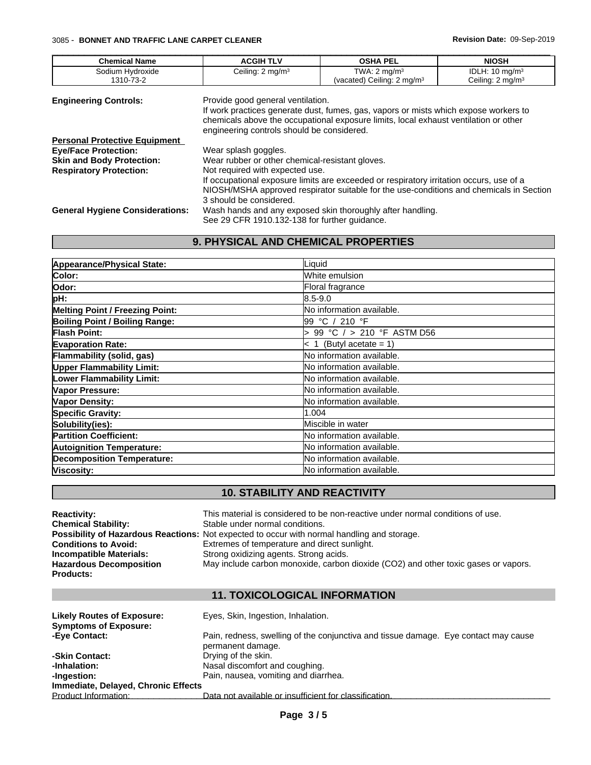| <b>Chemical Name</b>                   | <b>ACGIH TLV</b>                                                                | <b>OSHA PEL</b>                                                                                                                                                              | <b>NIOSH</b>                                             |
|----------------------------------------|---------------------------------------------------------------------------------|------------------------------------------------------------------------------------------------------------------------------------------------------------------------------|----------------------------------------------------------|
| Sodium Hydroxide<br>1310-73-2          | Ceiling: $2 \text{ mg/m}^3$                                                     | TWA: $2 \text{ mq/m}^3$<br>(vacated) Ceiling: 2 mg/m <sup>3</sup>                                                                                                            | IDLH: $10 \text{ mg/m}^3$<br>Ceiling: $2 \text{ mg/m}^3$ |
| <b>Engineering Controls:</b>           | Provide good general ventilation.<br>engineering controls should be considered. | If work practices generate dust, fumes, gas, vapors or mists which expose workers to<br>chemicals above the occupational exposure limits, local exhaust ventilation or other |                                                          |
| <b>Personal Protective Equipment</b>   |                                                                                 |                                                                                                                                                                              |                                                          |
| <b>Eye/Face Protection:</b>            | Wear splash goggles.                                                            |                                                                                                                                                                              |                                                          |
| <b>Skin and Body Protection:</b>       | Wear rubber or other chemical-resistant gloves.                                 |                                                                                                                                                                              |                                                          |
| <b>Respiratory Protection:</b>         | Not required with expected use.                                                 |                                                                                                                                                                              |                                                          |
|                                        |                                                                                 | If occupational exposure limits are exceeded or respiratory irritation occurs, use of a                                                                                      |                                                          |
|                                        |                                                                                 | NIOSH/MSHA approved respirator suitable for the use-conditions and chemicals in Section                                                                                      |                                                          |
|                                        | 3 should be considered.                                                         |                                                                                                                                                                              |                                                          |
| <b>General Hygiene Considerations:</b> |                                                                                 | Wash hands and any exposed skin thoroughly after handling.                                                                                                                   |                                                          |
|                                        | See 29 CFR 1910.132-138 for further quidance.                                   |                                                                                                                                                                              |                                                          |

 $\_$  ,  $\_$  ,  $\_$  ,  $\_$  ,  $\_$  ,  $\_$  ,  $\_$  ,  $\_$  ,  $\_$  ,  $\_$  ,  $\_$  ,  $\_$  ,  $\_$  ,  $\_$  ,  $\_$  ,  $\_$  ,  $\_$  ,  $\_$  ,  $\_$  ,  $\_$  ,  $\_$  ,  $\_$  ,  $\_$  ,  $\_$  ,  $\_$  ,  $\_$  ,  $\_$  ,  $\_$  ,  $\_$  ,  $\_$  ,  $\_$  ,  $\_$  ,  $\_$  ,  $\_$  ,  $\_$  ,  $\_$  ,  $\_$  ,

# **9. PHYSICAL AND CHEMICAL PROPERTIES**

| Appearance/Physical State:             | Liquid                      |
|----------------------------------------|-----------------------------|
| Color:                                 | White emulsion              |
| Odor:                                  | Floral fragrance            |
| pH:                                    | 8.5-9.0                     |
| <b>Melting Point / Freezing Point:</b> | No information available.   |
| <b>Boiling Point / Boiling Range:</b>  | l99 °C / 210 °F             |
| Flash Point:                           | > 99 °C / > 210 °F ASTM D56 |
| <b>Evaporation Rate:</b>               | $< 1$ (Butyl acetate = 1)   |
| Flammability (solid, gas)              | No information available.   |
| <b>Upper Flammability Limit:</b>       | No information available.   |
| Lower Flammability Limit:              | No information available.   |
| Vapor Pressure:                        | No information available.   |
| <b>Vapor Density:</b>                  | No information available.   |
| <b>Specific Gravity:</b>               | 1.004                       |
| Solubility(ies):                       | Miscible in water           |
| <b>Partition Coefficient:</b>          | No information available.   |
| <b>Autoignition Temperature:</b>       | No information available.   |
| <b>Decomposition Temperature:</b>      | No information available.   |
| Viscosity:                             | No information available.   |

# **10. STABILITY AND REACTIVITY**

| <b>Reactivity:</b>             | This material is considered to be non-reactive under normal conditions of use.                     |
|--------------------------------|----------------------------------------------------------------------------------------------------|
| <b>Chemical Stability:</b>     | Stable under normal conditions.                                                                    |
|                                | <b>Possibility of Hazardous Reactions:</b> Not expected to occur with normal handling and storage. |
| <b>Conditions to Avoid:</b>    | Extremes of temperature and direct sunlight.                                                       |
| Incompatible Materials:        | Strong oxidizing agents. Strong acids.                                                             |
| <b>Hazardous Decomposition</b> | May include carbon monoxide, carbon dioxide (CO2) and other toxic gases or vapors.                 |
| <b>Products:</b>               |                                                                                                    |

# **11. TOXICOLOGICAL INFORMATION**

| <b>Likely Routes of Exposure:</b>   | Eyes, Skin, Ingestion, Inhalation.                                                                       |
|-------------------------------------|----------------------------------------------------------------------------------------------------------|
| <b>Symptoms of Exposure:</b>        |                                                                                                          |
| -Eye Contact:                       | Pain, redness, swelling of the conjunctiva and tissue damage. Eye contact may cause<br>permanent damage. |
| -Skin Contact:                      | Drying of the skin.                                                                                      |
| -Inhalation:                        | Nasal discomfort and coughing.                                                                           |
| -Ingestion:                         | Pain, nausea, vomiting and diarrhea.                                                                     |
| Immediate, Delayed, Chronic Effects |                                                                                                          |
| Product Information:                | Data not available or insufficient for classification.                                                   |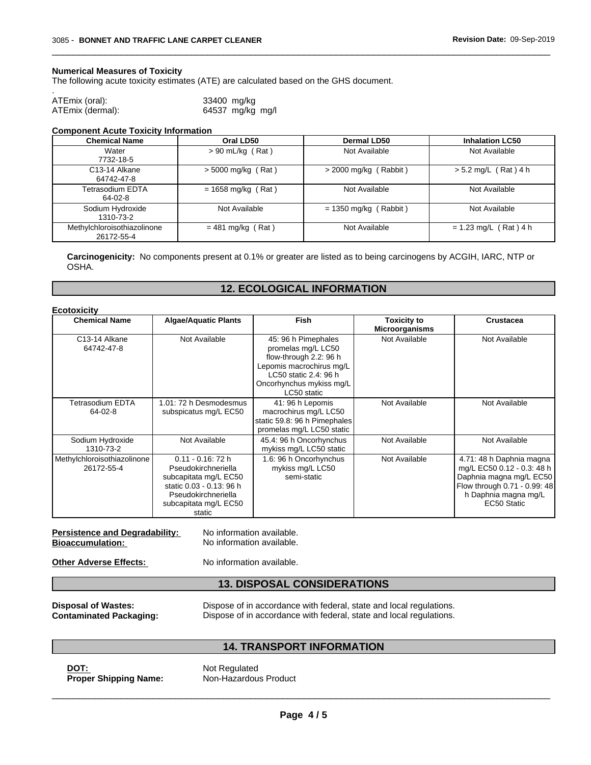#### **Numerical Measures of Toxicity**

The following acute toxicity estimates (ATE) are calculated based on the GHS document.

| ATEmix (oral):   | 33400 mg/kg      |
|------------------|------------------|
|                  |                  |
| ATEmix (dermal): | 64537 mg/kg mg/l |

#### **Component Acute Toxicity Information**

| <b>Chemical Name</b>                      | Oral LD50            | Dermal LD50             | <b>Inhalation LC50</b>  |
|-------------------------------------------|----------------------|-------------------------|-------------------------|
| Water<br>7732-18-5                        | $> 90$ mL/kg (Rat)   | Not Available           | Not Available           |
| C <sub>13</sub> -14 Alkane<br>64742-47-8  | $>$ 5000 mg/kg (Rat) | $>$ 2000 mg/kg (Rabbit) | $> 5.2$ mg/L (Rat) 4 h  |
| Tetrasodium EDTA<br>$64-02-8$             | $= 1658$ mg/kg (Rat) | Not Available           | Not Available           |
| Sodium Hydroxide<br>1310-73-2             | Not Available        | $= 1350$ mg/kg (Rabbit) | Not Available           |
| Methylchloroisothiazolinone<br>26172-55-4 | $= 481$ mg/kg (Rat)  | Not Available           | $= 1.23$ mg/L (Rat) 4 h |

 $\_$  ,  $\_$  ,  $\_$  ,  $\_$  ,  $\_$  ,  $\_$  ,  $\_$  ,  $\_$  ,  $\_$  ,  $\_$  ,  $\_$  ,  $\_$  ,  $\_$  ,  $\_$  ,  $\_$  ,  $\_$  ,  $\_$  ,  $\_$  ,  $\_$  ,  $\_$  ,  $\_$  ,  $\_$  ,  $\_$  ,  $\_$  ,  $\_$  ,  $\_$  ,  $\_$  ,  $\_$  ,  $\_$  ,  $\_$  ,  $\_$  ,  $\_$  ,  $\_$  ,  $\_$  ,  $\_$  ,  $\_$  ,  $\_$  ,

**Carcinogenicity:** No components present at 0.1% or greater are listed as to being carcinogens by ACGIH, IARC, NTP or OSHA.

### **12. ECOLOGICAL INFORMATION**

| <b>Chemical Name</b>                      | <b>Algae/Aquatic Plants</b>                                                                                                                                | <b>Fish</b>                                                                                                                                                         | <b>Toxicity to</b><br><b>Microorganisms</b> | <b>Crustacea</b>                                                                                                                                         |
|-------------------------------------------|------------------------------------------------------------------------------------------------------------------------------------------------------------|---------------------------------------------------------------------------------------------------------------------------------------------------------------------|---------------------------------------------|----------------------------------------------------------------------------------------------------------------------------------------------------------|
| C <sub>13</sub> -14 Alkane<br>64742-47-8  | Not Available                                                                                                                                              | 45: 96 h Pimephales<br>promelas mg/L LC50<br>flow-through 2.2: 96 h<br>Lepomis macrochirus mg/L<br>LC50 static 2.4: 96 h<br>Oncorhynchus mykiss mg/L<br>LC50 static | Not Available                               | Not Available                                                                                                                                            |
| Tetrasodium EDTA<br>64-02-8               | 1.01: 72 h Desmodesmus<br>subspicatus mg/L EC50                                                                                                            | 41: 96 h Lepomis<br>macrochirus mg/L LC50<br>static 59.8: 96 h Pimephales<br>promelas mg/L LC50 static                                                              | Not Available                               | Not Available                                                                                                                                            |
| Sodium Hydroxide<br>1310-73-2             | Not Available                                                                                                                                              | 45.4: 96 h Oncorhynchus<br>mykiss mg/L LC50 static                                                                                                                  | Not Available                               | Not Available                                                                                                                                            |
| Methylchloroisothiazolinone<br>26172-55-4 | $0.11 - 0.16$ : 72 h<br>Pseudokirchneriella<br>subcapitata mg/L EC50<br>static 0.03 - 0.13: 96 h<br>Pseudokirchneriella<br>subcapitata mg/L EC50<br>static | 1.6: 96 h Oncorhynchus<br>mykiss mg/L LC50<br>semi-static                                                                                                           | Not Available                               | 4.71: 48 h Daphnia magna<br>mg/L EC50 0.12 - 0.3: 48 h<br>Daphnia magna mg/L EC50<br>Flow through 0.71 - 0.99: 48<br>h Daphnia magna mg/L<br>EC50 Static |

| <b>Persistence and Degradability:</b> | No information available. |
|---------------------------------------|---------------------------|
| <b>Bioaccumulation:</b>               | No information available. |
| <b>Other Adverse Effects:</b>         | No information available. |

# **13. DISPOSAL CONSIDERATIONS**

**Disposal of Wastes:** Dispose of in accordance with federal, state and local regulations.<br>**Contaminated Packaging:** Dispose of in accordance with federal, state and local regulations. Dispose of in accordance with federal, state and local regulations.

 $\_$  ,  $\_$  ,  $\_$  ,  $\_$  ,  $\_$  ,  $\_$  ,  $\_$  ,  $\_$  ,  $\_$  ,  $\_$  ,  $\_$  ,  $\_$  ,  $\_$  ,  $\_$  ,  $\_$  ,  $\_$  ,  $\_$  ,  $\_$  ,  $\_$  ,  $\_$  ,  $\_$  ,  $\_$  ,  $\_$  ,  $\_$  ,  $\_$  ,  $\_$  ,  $\_$  ,  $\_$  ,  $\_$  ,  $\_$  ,  $\_$  ,  $\_$  ,  $\_$  ,  $\_$  ,  $\_$  ,  $\_$  ,  $\_$  ,

### **14. TRANSPORT INFORMATION**

**DOT:** Not Regulated **Proper Shipping Name:** Non-Hazardous Product